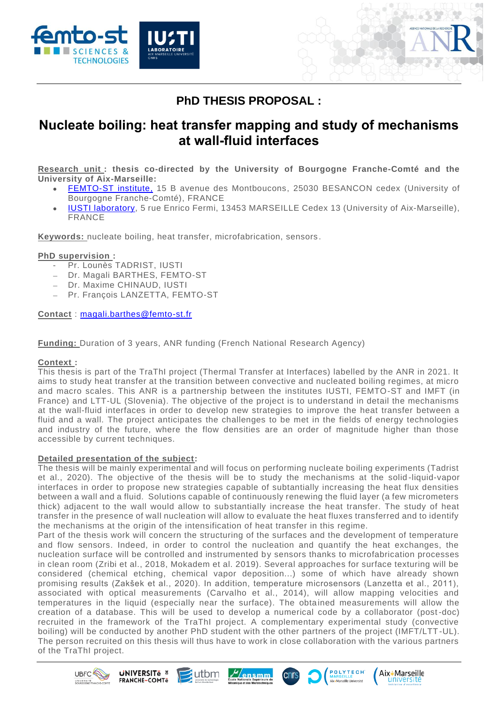



# **PhD THESIS PROPOSAL :**

## **Nucleate boiling: heat transfer mapping and study of mechanisms at wall-fluid interfaces**

**Research unit : thesis co-directed by the University of Bourgogne Franche-Comté and the University of Aix-Marseille:**

- [FEMTO-ST](http://www.femto-st.fr/) institute, 15 B avenue des Montboucons, 25030 BESANCON cedex (University of Bourgogne Franche-Comté), FRANCE
- [IUSTI](https://iusti.cnrs.fr/) laboratory, 5 rue Enrico Fermi, 13453 MARSEILLE Cedex 13 (University of Aix-Marseille), FRANCE

**Keywords:** nucleate boiling, heat transfer, microfabrication, sensors .

## **PhD supervision :**

- Pr. Lounès TADRIST, IUSTI
- − Dr. Magali BARTHES, FEMTO-ST
- − Dr. Maxime CHINAUD, IUSTI
- − Pr. François LANZETTA, FEMTO-ST

**Contact** : [magali.barthes@femto-st.fr](mailto:magali.barthes@femto-st.fr)

**Funding:** Duration of 3 years, ANR funding (French National Research Agency)

## **Context :**

This thesis is part of the TraThI project (Thermal Transfer at Interfaces) labelled by the ANR in 2021. It aims to study heat transfer at the transition between convective and nucleated boiling regimes, at micro and macro scales. This ANR is a partnership between the institutes IUSTI, FEMTO-ST and IMFT (in France) and LTT-UL (Slovenia). The objective of the project is to understand in detail the mechanisms at the wall-fluid interfaces in order to develop new strategies to improve the heat transfer between a fluid and a wall. The project anticipates the challenges to be met in the fields of energy technologies and industry of the future, where the flow densities are an order of magnitude higher than those accessible by current techniques.

## **Detailed presentation of the subject:**

The thesis will be mainly experimental and will focus on performing nucleate boiling experiments (Tadrist et al., 2020). The objective of the thesis will be to study the mechanisms at the solid -liquid-vapor interfaces in order to propose new strategies capable of subtantially increasing the heat flux densities between a wall and a fluid. Solutions capable of continuously renewing the fluid layer (a few micrometers thick) adjacent to the wall would allow to substantially increase the heat transfer. The study of heat transfer in the presence of wall nucleation will allow to evaluate the heat fluxes transferred and to identify the mechanisms at the origin of the intensification of heat transfer in this regime.

Part of the thesis work will concern the structuring of the surfaces and the development of temperature and flow sensors. Indeed, in order to control the nucleation and quantify the heat exchanges, the nucleation surface will be controlled and instrumented by sensors thanks to microfabrication processes in clean room (Zribi et al., 2018, Mokadem et al. 2019). Several approaches for surface texturing will be considered (chemical etching, chemical vapor deposition...) some of which have already shown promising results (Zakšek et al., 2020). In addition, temperature microsensors (Lanzetta et al., 2011), associated with optical measurements (Carvalho et al., 2014), will allow mapping velocities and temperatures in the liquid (especially near the surface). The obta ined measurements will allow the creation of a database. This will be used to develop a numerical code by a collaborator (post -doc) recruited in the framework of the TraThI project. A complementary experimental study (convective boiling) will be conducted by another PhD student with the other partners of the project (IMFT/LTT -UL). The person recruited on this thesis will thus have to work in close collaboration with the various partners of the TraThI project.